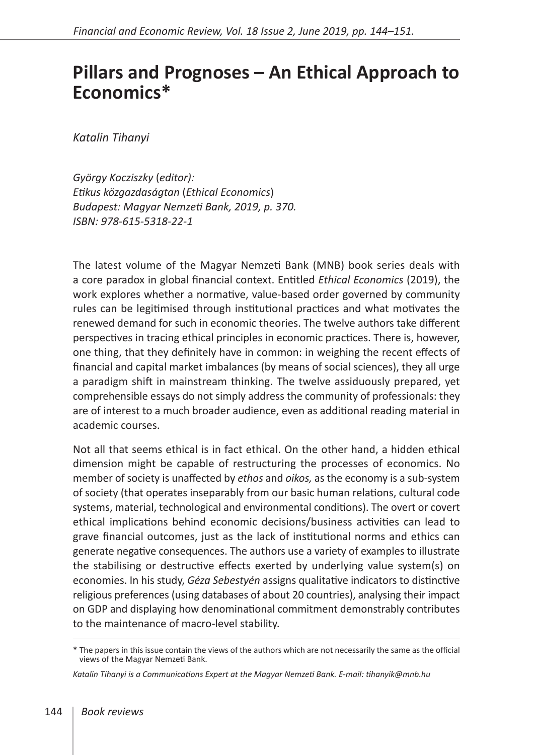## **Pillars and Prognoses – An Ethical Approach to Economics\***

*Katalin Tihanyi*

*György Kocziszky* (*editor): Etikus közgazdaságtan* (*Ethical Economics*) *Budapest: Magyar Nemzeti Bank, 2019, p. 370. ISBN: 978-615-5318-22-1*

The latest volume of the Magyar Nemzeti Bank (MNB) book series deals with a core paradox in global financial context. Entitled *Ethical Economics* (2019), the work explores whether a normative, value-based order governed by community rules can be legitimised through institutional practices and what motivates the renewed demand for such in economic theories. The twelve authors take different perspectives in tracing ethical principles in economic practices. There is, however, one thing, that they definitely have in common: in weighing the recent effects of financial and capital market imbalances (by means of social sciences), they all urge a paradigm shift in mainstream thinking. The twelve assiduously prepared, yet comprehensible essays do not simply address the community of professionals: they are of interest to a much broader audience, even as additional reading material in academic courses.

Not all that seems ethical is in fact ethical. On the other hand, a hidden ethical dimension might be capable of restructuring the processes of economics. No member of society is unaffected by *ethos* and *oikos,* as the economy is a sub-system of society (that operates inseparably from our basic human relations, cultural code systems, material, technological and environmental conditions). The overt or covert ethical implications behind economic decisions/business activities can lead to grave financial outcomes, just as the lack of institutional norms and ethics can generate negative consequences. The authors use a variety of examples to illustrate the stabilising or destructive effects exerted by underlying value system(s) on economies. In his study, *Géza Sebestyén* assigns qualitative indicators to distinctive religious preferences (using databases of about 20 countries), analysing their impact on GDP and displaying how denominational commitment demonstrably contributes to the maintenance of macro-level stability.

<sup>\*</sup> The papers in this issue contain the views of the authors which are not necessarily the same as the official views of the Magyar Nemzeti Bank.

*Katalin Tihanyi is a Communications Expert at the Magyar Nemzeti Bank. E-mail: tihanyik@mnb.hu*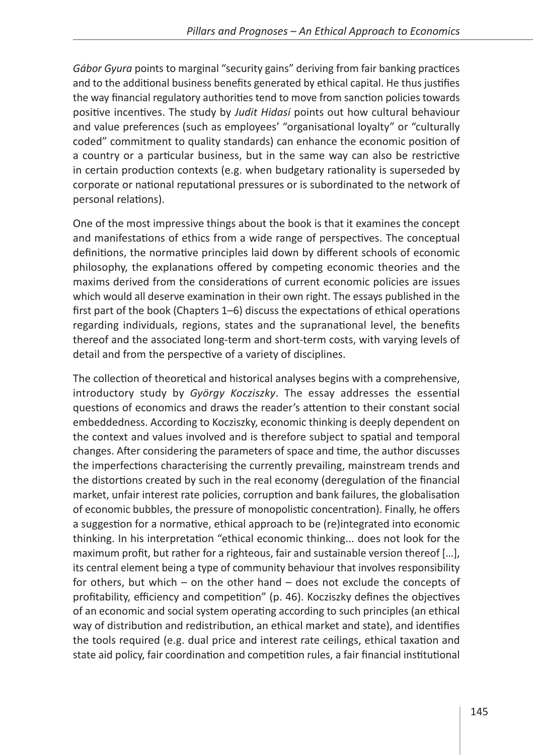*Gábor Gyura* points to marginal "security gains" deriving from fair banking practices and to the additional business benefits generated by ethical capital. He thus justifies the way financial regulatory authorities tend to move from sanction policies towards positive incentives. The study by *Judit Hidasi* points out how cultural behaviour and value preferences (such as employees' "organisational loyalty" or "culturally coded" commitment to quality standards) can enhance the economic position of a country or a particular business, but in the same way can also be restrictive in certain production contexts (e.g. when budgetary rationality is superseded by corporate or national reputational pressures or is subordinated to the network of personal relations).

One of the most impressive things about the book is that it examines the concept and manifestations of ethics from a wide range of perspectives. The conceptual definitions, the normative principles laid down by different schools of economic philosophy, the explanations offered by competing economic theories and the maxims derived from the considerations of current economic policies are issues which would all deserve examination in their own right. The essays published in the first part of the book (Chapters 1–6) discuss the expectations of ethical operations regarding individuals, regions, states and the supranational level, the benefits thereof and the associated long-term and short-term costs, with varying levels of detail and from the perspective of a variety of disciplines.

The collection of theoretical and historical analyses begins with a comprehensive, introductory study by *György Kocziszky*. The essay addresses the essential questions of economics and draws the reader's attention to their constant social embeddedness. According to Kocziszky, economic thinking is deeply dependent on the context and values involved and is therefore subject to spatial and temporal changes. After considering the parameters of space and time, the author discusses the imperfections characterising the currently prevailing, mainstream trends and the distortions created by such in the real economy (deregulation of the financial market, unfair interest rate policies, corruption and bank failures, the globalisation of economic bubbles, the pressure of monopolistic concentration). Finally, he offers a suggestion for a normative, ethical approach to be (re)integrated into economic thinking. In his interpretation "ethical economic thinking... does not look for the maximum profit, but rather for a righteous, fair and sustainable version thereof […], its central element being a type of community behaviour that involves responsibility for others, but which – on the other hand – does not exclude the concepts of profitability, efficiency and competition" (p. 46). Kocziszky defines the objectives of an economic and social system operating according to such principles (an ethical way of distribution and redistribution, an ethical market and state), and identifies the tools required (e.g. dual price and interest rate ceilings, ethical taxation and state aid policy, fair coordination and competition rules, a fair financial institutional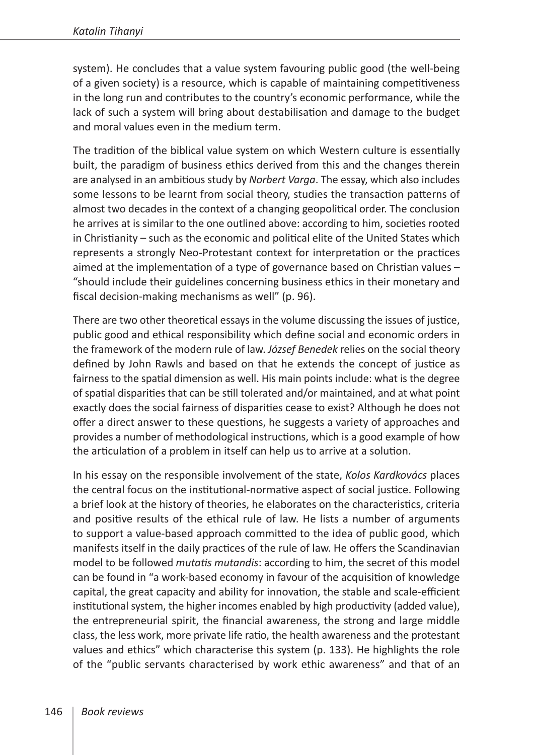system). He concludes that a value system favouring public good (the well-being of a given society) is a resource, which is capable of maintaining competitiveness in the long run and contributes to the country's economic performance, while the lack of such a system will bring about destabilisation and damage to the budget and moral values even in the medium term.

The tradition of the biblical value system on which Western culture is essentially built, the paradigm of business ethics derived from this and the changes therein are analysed in an ambitious study by *Norbert Varga*. The essay, which also includes some lessons to be learnt from social theory, studies the transaction patterns of almost two decades in the context of a changing geopolitical order. The conclusion he arrives at is similar to the one outlined above: according to him, societies rooted in Christianity – such as the economic and political elite of the United States which represents a strongly Neo-Protestant context for interpretation or the practices aimed at the implementation of a type of governance based on Christian values – "should include their guidelines concerning business ethics in their monetary and fiscal decision-making mechanisms as well" (p. 96).

There are two other theoretical essays in the volume discussing the issues of justice, public good and ethical responsibility which define social and economic orders in the framework of the modern rule of law. *József Benedek* relies on the social theory defined by John Rawls and based on that he extends the concept of justice as fairness to the spatial dimension as well. His main points include: what is the degree of spatial disparities that can be still tolerated and/or maintained, and at what point exactly does the social fairness of disparities cease to exist? Although he does not offer a direct answer to these questions, he suggests a variety of approaches and provides a number of methodological instructions, which is a good example of how the articulation of a problem in itself can help us to arrive at a solution.

In his essay on the responsible involvement of the state, *Kolos Kardkovács* places the central focus on the institutional-normative aspect of social justice. Following a brief look at the history of theories, he elaborates on the characteristics, criteria and positive results of the ethical rule of law. He lists a number of arguments to support a value-based approach committed to the idea of public good, which manifests itself in the daily practices of the rule of law. He offers the Scandinavian model to be followed *mutatis mutandis*: according to him, the secret of this model can be found in "a work-based economy in favour of the acquisition of knowledge capital, the great capacity and ability for innovation, the stable and scale-efficient institutional system, the higher incomes enabled by high productivity (added value), the entrepreneurial spirit, the financial awareness, the strong and large middle class, the less work, more private life ratio, the health awareness and the protestant values and ethics" which characterise this system (p. 133). He highlights the role of the "public servants characterised by work ethic awareness" and that of an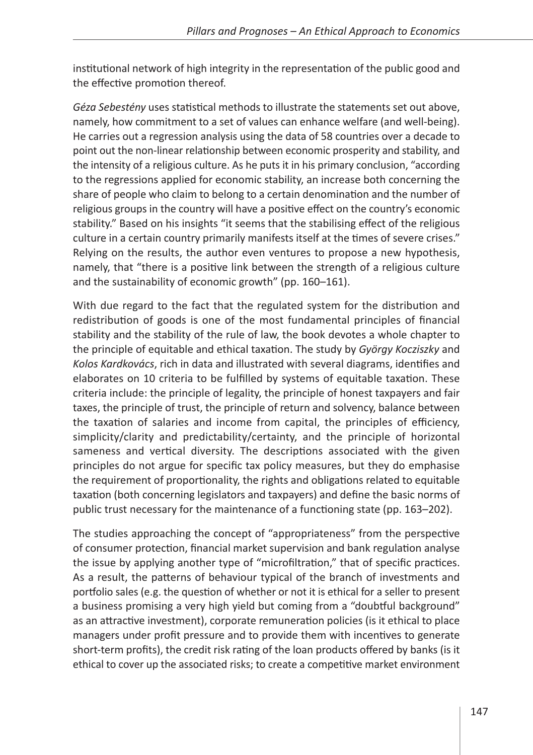institutional network of high integrity in the representation of the public good and the effective promotion thereof.

*Géza Sebestény* uses statistical methods to illustrate the statements set out above, namely, how commitment to a set of values can enhance welfare (and well-being). He carries out a regression analysis using the data of 58 countries over a decade to point out the non-linear relationship between economic prosperity and stability, and the intensity of a religious culture. As he puts it in his primary conclusion, "according to the regressions applied for economic stability, an increase both concerning the share of people who claim to belong to a certain denomination and the number of religious groups in the country will have a positive effect on the country's economic stability." Based on his insights "it seems that the stabilising effect of the religious culture in a certain country primarily manifests itself at the times of severe crises." Relying on the results, the author even ventures to propose a new hypothesis, namely, that "there is a positive link between the strength of a religious culture and the sustainability of economic growth" (pp. 160–161).

With due regard to the fact that the regulated system for the distribution and redistribution of goods is one of the most fundamental principles of financial stability and the stability of the rule of law, the book devotes a whole chapter to the principle of equitable and ethical taxation. The study by *György Kocziszky* and *Kolos Kardkovács*, rich in data and illustrated with several diagrams, identifies and elaborates on 10 criteria to be fulfilled by systems of equitable taxation. These criteria include: the principle of legality, the principle of honest taxpayers and fair taxes, the principle of trust, the principle of return and solvency, balance between the taxation of salaries and income from capital, the principles of efficiency, simplicity/clarity and predictability/certainty, and the principle of horizontal sameness and vertical diversity. The descriptions associated with the given principles do not argue for specific tax policy measures, but they do emphasise the requirement of proportionality, the rights and obligations related to equitable taxation (both concerning legislators and taxpayers) and define the basic norms of public trust necessary for the maintenance of a functioning state (pp. 163–202).

The studies approaching the concept of "appropriateness" from the perspective of consumer protection, financial market supervision and bank regulation analyse the issue by applying another type of "microfiltration," that of specific practices. As a result, the patterns of behaviour typical of the branch of investments and portfolio sales (e.g. the question of whether or not it is ethical for a seller to present a business promising a very high yield but coming from a "doubtful background" as an attractive investment), corporate remuneration policies (is it ethical to place managers under profit pressure and to provide them with incentives to generate short-term profits), the credit risk rating of the loan products offered by banks (is it ethical to cover up the associated risks; to create a competitive market environment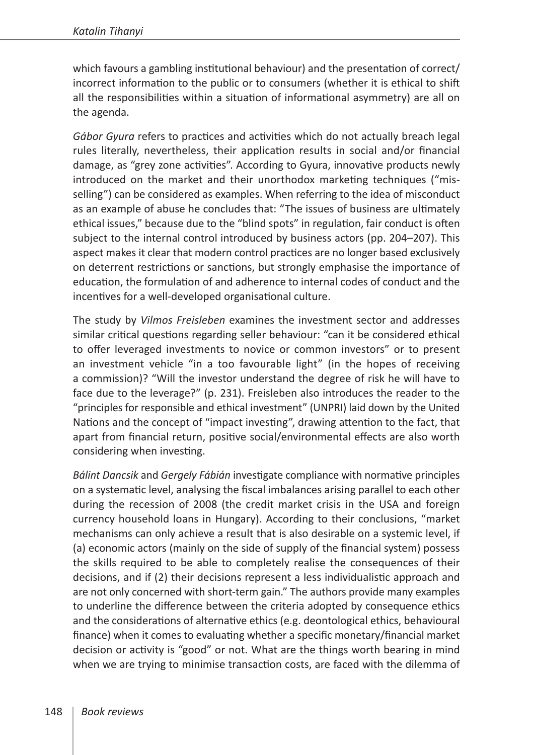which favours a gambling institutional behaviour) and the presentation of correct/ incorrect information to the public or to consumers (whether it is ethical to shift all the responsibilities within a situation of informational asymmetry) are all on the agenda.

*Gábor Gyura* refers to practices and activities which do not actually breach legal rules literally, nevertheless, their application results in social and/or financial damage, as "grey zone activities". According to Gyura, innovative products newly introduced on the market and their unorthodox marketing techniques ("misselling") can be considered as examples. When referring to the idea of misconduct as an example of abuse he concludes that: "The issues of business are ultimately ethical issues," because due to the "blind spots" in regulation, fair conduct is often subject to the internal control introduced by business actors (pp. 204–207). This aspect makes it clear that modern control practices are no longer based exclusively on deterrent restrictions or sanctions, but strongly emphasise the importance of education, the formulation of and adherence to internal codes of conduct and the incentives for a well-developed organisational culture.

The study by *Vilmos Freisleben* examines the investment sector and addresses similar critical questions regarding seller behaviour: "can it be considered ethical to offer leveraged investments to novice or common investors" or to present an investment vehicle "in a too favourable light" (in the hopes of receiving a commission)? "Will the investor understand the degree of risk he will have to face due to the leverage?" (p. 231). Freisleben also introduces the reader to the "principles for responsible and ethical investment" (UNPRI) laid down by the United Nations and the concept of "impact investing", drawing attention to the fact, that apart from financial return, positive social/environmental effects are also worth considering when investing.

*Bálint Dancsik* and *Gergely Fábián* investigate compliance with normative principles on a systematic level, analysing the fiscal imbalances arising parallel to each other during the recession of 2008 (the credit market crisis in the USA and foreign currency household loans in Hungary). According to their conclusions, "market mechanisms can only achieve a result that is also desirable on a systemic level, if (a) economic actors (mainly on the side of supply of the financial system) possess the skills required to be able to completely realise the consequences of their decisions, and if (2) their decisions represent a less individualistic approach and are not only concerned with short-term gain." The authors provide many examples to underline the difference between the criteria adopted by consequence ethics and the considerations of alternative ethics (e.g. deontological ethics, behavioural finance) when it comes to evaluating whether a specific monetary/financial market decision or activity is "good" or not. What are the things worth bearing in mind when we are trying to minimise transaction costs, are faced with the dilemma of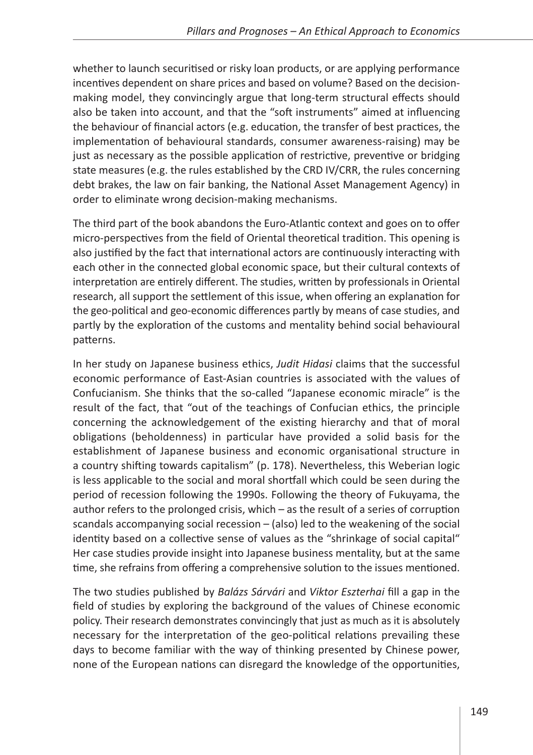whether to launch securitised or risky loan products, or are applying performance incentives dependent on share prices and based on volume? Based on the decisionmaking model, they convincingly argue that long-term structural effects should also be taken into account, and that the "soft instruments" aimed at influencing the behaviour of financial actors (e.g. education, the transfer of best practices, the implementation of behavioural standards, consumer awareness-raising) may be just as necessary as the possible application of restrictive, preventive or bridging state measures (e.g. the rules established by the CRD IV/CRR, the rules concerning debt brakes, the law on fair banking, the National Asset Management Agency) in order to eliminate wrong decision-making mechanisms.

The third part of the book abandons the Euro-Atlantic context and goes on to offer micro-perspectives from the field of Oriental theoretical tradition. This opening is also justified by the fact that international actors are continuously interacting with each other in the connected global economic space, but their cultural contexts of interpretation are entirely different. The studies, written by professionals in Oriental research, all support the settlement of this issue, when offering an explanation for the geo-political and geo-economic differences partly by means of case studies, and partly by the exploration of the customs and mentality behind social behavioural patterns.

In her study on Japanese business ethics, *Judit Hidasi* claims that the successful economic performance of East-Asian countries is associated with the values of Confucianism. She thinks that the so-called "Japanese economic miracle" is the result of the fact, that "out of the teachings of Confucian ethics, the principle concerning the acknowledgement of the existing hierarchy and that of moral obligations (beholdenness) in particular have provided a solid basis for the establishment of Japanese business and economic organisational structure in a country shifting towards capitalism" (p. 178). Nevertheless, this Weberian logic is less applicable to the social and moral shortfall which could be seen during the period of recession following the 1990s. Following the theory of Fukuyama, the author refers to the prolonged crisis, which – as the result of a series of corruption scandals accompanying social recession – (also) led to the weakening of the social identity based on a collective sense of values as the "shrinkage of social capital" Her case studies provide insight into Japanese business mentality, but at the same time, she refrains from offering a comprehensive solution to the issues mentioned.

The two studies published by *Balázs Sárvári* and *Viktor Eszterhai* fill a gap in the field of studies by exploring the background of the values of Chinese economic policy. Their research demonstrates convincingly that just as much as it is absolutely necessary for the interpretation of the geo-political relations prevailing these days to become familiar with the way of thinking presented by Chinese power, none of the European nations can disregard the knowledge of the opportunities,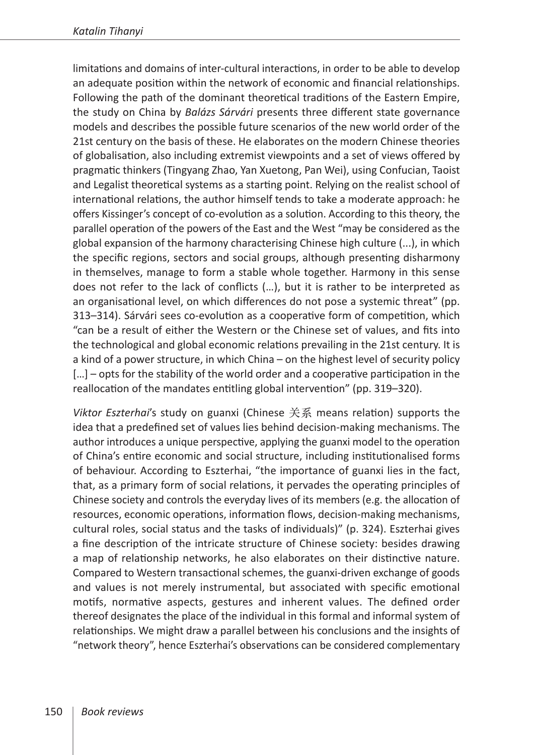limitations and domains of inter-cultural interactions, in order to be able to develop an adequate position within the network of economic and financial relationships. Following the path of the dominant theoretical traditions of the Eastern Empire, the study on China by *Balázs Sárvári* presents three different state governance models and describes the possible future scenarios of the new world order of the 21st century on the basis of these. He elaborates on the modern Chinese theories of globalisation, also including extremist viewpoints and a set of views offered by pragmatic thinkers (Tingyang Zhao, Yan Xuetong, Pan Wei), using Confucian, Taoist and Legalist theoretical systems as a starting point. Relying on the realist school of international relations, the author himself tends to take a moderate approach: he offers Kissinger's concept of co-evolution as a solution. According to this theory, the parallel operation of the powers of the East and the West "may be considered as the global expansion of the harmony characterising Chinese high culture (...), in which the specific regions, sectors and social groups, although presenting disharmony in themselves, manage to form a stable whole together. Harmony in this sense does not refer to the lack of conflicts (…), but it is rather to be interpreted as an organisational level, on which differences do not pose a systemic threat" (pp. 313–314). Sárvári sees co-evolution as a cooperative form of competition, which "can be a result of either the Western or the Chinese set of values, and fits into the technological and global economic relations prevailing in the 21st century. It is a kind of a power structure, in which China – on the highest level of security policy [...] – opts for the stability of the world order and a cooperative participation in the reallocation of the mandates entitling global intervention" (pp. 319–320).

*Viktor Eszterhai*'s study on guanxi (Chinese 关系 means relation) supports the idea that a predefined set of values lies behind decision-making mechanisms. The author introduces a unique perspective, applying the guanxi model to the operation of China's entire economic and social structure, including institutionalised forms of behaviour. According to Eszterhai, "the importance of guanxi lies in the fact, that, as a primary form of social relations, it pervades the operating principles of Chinese society and controls the everyday lives of its members (e.g. the allocation of resources, economic operations, information flows, decision-making mechanisms, cultural roles, social status and the tasks of individuals)" (p. 324). Eszterhai gives a fine description of the intricate structure of Chinese society: besides drawing a map of relationship networks, he also elaborates on their distinctive nature. Compared to Western transactional schemes, the guanxi-driven exchange of goods and values is not merely instrumental, but associated with specific emotional motifs, normative aspects, gestures and inherent values. The defined order thereof designates the place of the individual in this formal and informal system of relationships. We might draw a parallel between his conclusions and the insights of "network theory", hence Eszterhai's observations can be considered complementary